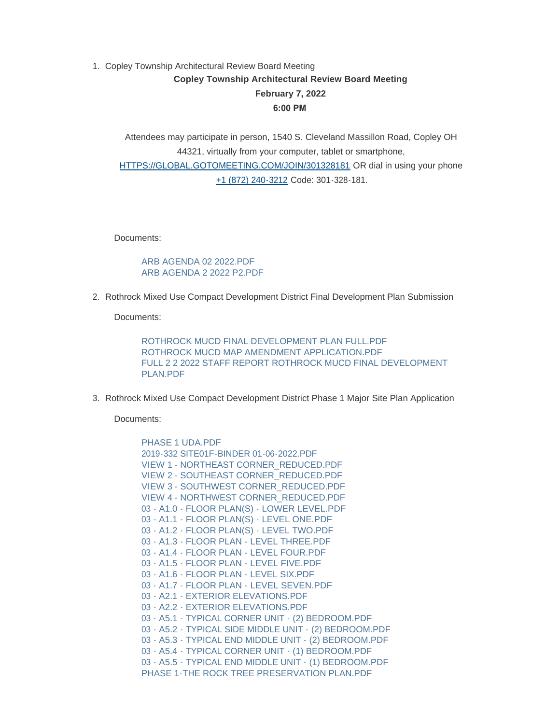## 1. Copley Township Architectural Review Board Meeting **Copley Township Architectural Review Board Meeting February 7, 2022 6:00 PM**

Attendees may participate in person, 1540 S. Cleveland Massillon Road, Copley OH 44321, virtually from your computer, tablet or smartphone, HTTPS://GLO[BAL.GOTOMEETING.COM/JOIN/301328181 OR dial in usin](https://global.gotomeeting.com/join/301328181)g your phone [+1 \(872\) 240-3212](tel:+18722403212,,301328181) Code: 301-328-181.

Documents:

[ARB AGENDA 02 2022.PDF](https://www.copley.oh.us/AgendaCenter/ViewFile/Item/694?fileID=8900) [ARB AGENDA 2 2022 P2.PDF](https://www.copley.oh.us/AgendaCenter/ViewFile/Item/694?fileID=8901)

2. Rothrock Mixed Use Compact Development District Final Development Plan Submission

Documents:

ROTHROCK MUCD FINAL DEVELOPMENT PLAN FULL PDE [ROTHROCK MUCD MAP AMENDMENT APPLICATION.PDF](https://www.copley.oh.us/AgendaCenter/ViewFile/Item/696?fileID=8907) [FULL 2 2 2022 STAFF REPORT ROTHROCK MUCD FINAL DEVELOPMENT](https://www.copley.oh.us/AgendaCenter/ViewFile/Item/696?fileID=8920)  PLAN PDF

3. Rothrock Mixed Use Compact Development District Phase 1 Major Site Plan Application

Documents:

PHASE 1 UDA PDF [2019-332 SITE01F-BINDER 01-06-2022.PDF](https://www.copley.oh.us/AgendaCenter/ViewFile/Item/697?fileID=8911) [VIEW 1 - NORTHEAST CORNER\\_REDUCED.PDF](https://www.copley.oh.us/AgendaCenter/ViewFile/Item/697?fileID=8912) [VIEW 2 - SOUTHEAST CORNER\\_REDUCED.PDF](https://www.copley.oh.us/AgendaCenter/ViewFile/Item/697?fileID=8913) [VIEW 3 - SOUTHWEST CORNER\\_REDUCED.PDF](https://www.copley.oh.us/AgendaCenter/ViewFile/Item/697?fileID=8914) [VIEW 4 - NORTHWEST CORNER\\_REDUCED.PDF](https://www.copley.oh.us/AgendaCenter/ViewFile/Item/697?fileID=8915) [03 - A1.0 - FLOOR PLAN\(S\) - LOWER LEVEL.PDF](https://www.copley.oh.us/AgendaCenter/ViewFile/Item/697?fileID=8880) [03 - A1.1 - FLOOR PLAN\(S\) - LEVEL ONE.PDF](https://www.copley.oh.us/AgendaCenter/ViewFile/Item/697?fileID=8881) [03 - A1.2 - FLOOR PLAN\(S\) - LEVEL TWO.PDF](https://www.copley.oh.us/AgendaCenter/ViewFile/Item/697?fileID=8882) [03 - A1.3 - FLOOR PLAN - LEVEL THREE.PDF](https://www.copley.oh.us/AgendaCenter/ViewFile/Item/697?fileID=8883) [03 - A1.4 - FLOOR PLAN - LEVEL FOUR.PDF](https://www.copley.oh.us/AgendaCenter/ViewFile/Item/697?fileID=8884) [03 - A1.5 - FLOOR PLAN - LEVEL FIVE.PDF](https://www.copley.oh.us/AgendaCenter/ViewFile/Item/697?fileID=8885) [03 - A1.6 - FLOOR PLAN - LEVEL SIX.PDF](https://www.copley.oh.us/AgendaCenter/ViewFile/Item/697?fileID=8886) [03 - A1.7 - FLOOR PLAN - LEVEL SEVEN.PDF](https://www.copley.oh.us/AgendaCenter/ViewFile/Item/697?fileID=8887) [03 - A2.1 - EXTERIOR ELEVATIONS.PDF](https://www.copley.oh.us/AgendaCenter/ViewFile/Item/697?fileID=8888) [03 - A2.2 - EXTERIOR ELEVATIONS.PDF](https://www.copley.oh.us/AgendaCenter/ViewFile/Item/697?fileID=8889) [03 - A5.1 - TYPICAL CORNER UNIT - \(2\) BEDROOM.PDF](https://www.copley.oh.us/AgendaCenter/ViewFile/Item/697?fileID=8890) [03 - A5.2 - TYPICAL SIDE MIDDLE UNIT - \(2\) BEDROOM.PDF](https://www.copley.oh.us/AgendaCenter/ViewFile/Item/697?fileID=8891) [03 - A5.3 - TYPICAL END MIDDLE UNIT - \(2\) BEDROOM.PDF](https://www.copley.oh.us/AgendaCenter/ViewFile/Item/697?fileID=8892) [03 - A5.4 - TYPICAL CORNER UNIT - \(1\) BEDROOM.PDF](https://www.copley.oh.us/AgendaCenter/ViewFile/Item/697?fileID=8893) [03 - A5.5 - TYPICAL END MIDDLE UNIT - \(1\) BEDROOM.PDF](https://www.copley.oh.us/AgendaCenter/ViewFile/Item/697?fileID=8894) [PHASE 1-THE ROCK TREE PRESERVATION PLAN.PDF](https://www.copley.oh.us/AgendaCenter/ViewFile/Item/697?fileID=8895)